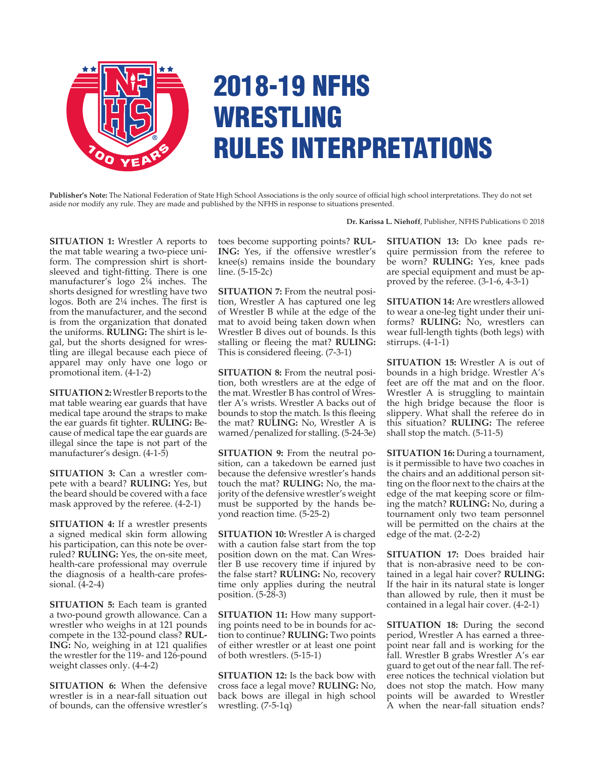

## 2018-19 NFHS WRESTLING RULES INTERPRETATIONS

**Publisher's Note:** The National Federation of State High School Associations is the only source of official high school interpretations. They do not set aside nor modify any rule. They are made and published by the NFHS in response to situations presented.

**Dr. Karissa L. Niehoff**, Publisher, NFHS Publications © 2018

**SITUATION 1:** Wrestler A reports to the mat table wearing a two-piece uniform. The compression shirt is shortsleeved and tight-fitting. There is one manufacturer's logo 2¼ inches. The shorts designed for wrestling have two logos. Both are 2¼ inches. The first is from the manufacturer, and the second is from the organization that donated the uniforms. **RULING:** The shirt is legal, but the shorts designed for wrestling are illegal because each piece of apparel may only have one logo or promotional item. (4-1-2)

**SITUATION 2:** Wrestler B reports to the mat table wearing ear guards that have medical tape around the straps to make the ear guards fit tighter. **RULING:** Because of medical tape the ear guards are illegal since the tape is not part of the manufacturer's design. (4-1-5)

**SITUATION 3:** Can a wrestler compete with a beard? **RULING:** Yes, but the beard should be covered with a face mask approved by the referee. (4-2-1)

**SITUATION 4:** If a wrestler presents a signed medical skin form allowing his participation, can this note be overruled? **RULING:** Yes, the on-site meet, health-care professional may overrule the diagnosis of a health-care professional. (4-2-4)

**SITUATION 5:** Each team is granted a two-pound growth allowance. Can a wrestler who weighs in at 121 pounds compete in the 132-pound class? **RUL-ING:** No, weighing in at 121 qualifies the wrestler for the 119- and 126-pound weight classes only. (4-4-2)

**SITUATION 6:** When the defensive wrestler is in a near-fall situation out of bounds, can the offensive wrestler's toes become supporting points? **RUL-ING:** Yes, if the offensive wrestler's knee(s) remains inside the boundary line. (5-15-2c)

**SITUATION 7:** From the neutral position, Wrestler A has captured one leg of Wrestler B while at the edge of the mat to avoid being taken down when Wrestler B dives out of bounds. Is this stalling or fleeing the mat? **RULING:** This is considered fleeing. (7-3-1)

**SITUATION 8:** From the neutral position, both wrestlers are at the edge of the mat. Wrestler B has control of Wrestler A's wrists. Wrestler A backs out of bounds to stop the match. Is this fleeing the mat? **RULING:** No, Wrestler A is warned/penalized for stalling. (5-24-3e)

**SITUATION 9:** From the neutral position, can a takedown be earned just because the defensive wrestler's hands touch the mat? **RULING:** No, the majority of the defensive wrestler's weight must be supported by the hands beyond reaction time. (5-25-2)

**SITUATION 10:** Wrestler A is charged with a caution false start from the top position down on the mat. Can Wrestler B use recovery time if injured by the false start? **RULING:** No, recovery time only applies during the neutral position. (5-28-3)

**SITUATION 11:** How many supporting points need to be in bounds for action to continue? **RULING:** Two points of either wrestler or at least one point of both wrestlers. (5-15-1)

**SITUATION 12:** Is the back bow with cross face a legal move? **RULING:** No, back bows are illegal in high school wrestling. (7-5-1q)

**SITUATION 13:** Do knee pads require permission from the referee to be worn? **RULING:** Yes, knee pads are special equipment and must be approved by the referee. (3-1-6, 4-3-1)

**SITUATION 14:** Are wrestlers allowed to wear a one-leg tight under their uniforms? **RULING:** No, wrestlers can wear full-length tights (both legs) with stirrups. (4-1-1)

**SITUATION 15:** Wrestler A is out of bounds in a high bridge. Wrestler A's feet are off the mat and on the floor. Wrestler A is struggling to maintain the high bridge because the floor is slippery. What shall the referee do in this situation? **RULING:** The referee shall stop the match. (5-11-5)

**SITUATION 16:** During a tournament, is it permissible to have two coaches in the chairs and an additional person sitting on the floor next to the chairs at the edge of the mat keeping score or filming the match? **RULING:** No, during a tournament only two team personnel will be permitted on the chairs at the edge of the mat. (2-2-2)

**SITUATION 17:** Does braided hair that is non-abrasive need to be contained in a legal hair cover? **RULING:** If the hair in its natural state is longer than allowed by rule, then it must be contained in a legal hair cover. (4-2-1)

**SITUATION 18:** During the second period, Wrestler A has earned a threepoint near fall and is working for the fall. Wrestler B grabs Wrestler A's ear guard to get out of the near fall. The referee notices the technical violation but does not stop the match. How many points will be awarded to Wrestler A when the near-fall situation ends?